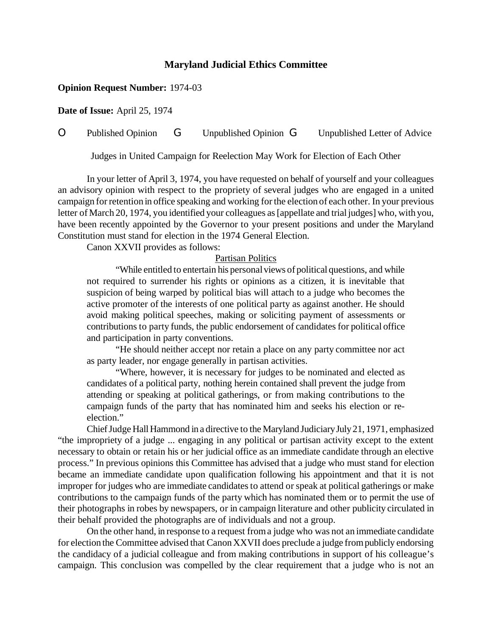## **Maryland Judicial Ethics Committee**

## **Opinion Request Number:** 1974-03

**Date of Issue:** April 25, 1974

# O Published Opinion G Unpublished Opinion G Unpublished Letter of Advice

Judges in United Campaign for Reelection May Work for Election of Each Other

In your letter of April 3, 1974, you have requested on behalf of yourself and your colleagues an advisory opinion with respect to the propriety of several judges who are engaged in a united campaign forretention in office speaking and working forthe election of each other. In your previous letter of March 20, 1974, you identified your colleagues as [appellate and trial judges] who, with you, have been recently appointed by the Governor to your present positions and under the Maryland Constitution must stand for election in the 1974 General Election.

Canon XXVII provides as follows:

#### Partisan Politics

"While entitled to entertain his personal views of political questions, and while not required to surrender his rights or opinions as a citizen, it is inevitable that suspicion of being warped by political bias will attach to a judge who becomes the active promoter of the interests of one political party as against another. He should avoid making political speeches, making or soliciting payment of assessments or contributions to party funds, the public endorsement of candidates for political office and participation in party conventions.

"He should neither accept nor retain a place on any party committee nor act as party leader, nor engage generally in partisan activities.

"Where, however, it is necessary for judges to be nominated and elected as candidates of a political party, nothing herein contained shall prevent the judge from attending or speaking at political gatherings, or from making contributions to the campaign funds of the party that has nominated him and seeks his election or reelection."

ChiefJudge HallHammond in a directive to the Maryland JudiciaryJuly21, 1971, emphasized "the impropriety of a judge ... engaging in any political or partisan activity except to the extent necessary to obtain or retain his or her judicial office as an immediate candidate through an elective process." In previous opinions this Committee has advised that a judge who must stand for election became an immediate candidate upon qualification following his appointment and that it is not improper for judges who are immediate candidates to attend or speak at political gatherings or make contributions to the campaign funds of the party which has nominated them or to permit the use of their photographs in robes by newspapers, or in campaign literature and other publicity circulated in their behalf provided the photographs are of individuals and not a group.

On the other hand, in response to a request froma judge who was not an immediate candidate for election the Committee advised that CanonXXVII does preclude a judge frompublicly endorsing the candidacy of a judicial colleague and from making contributions in support of his colleague's campaign. This conclusion was compelled by the clear requirement that a judge who is not an